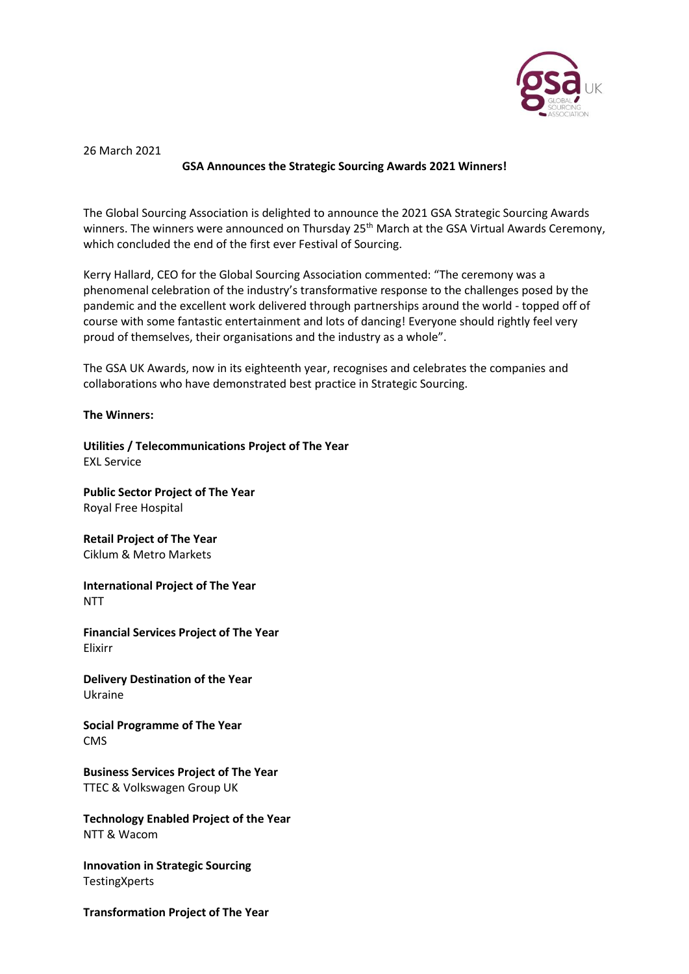

26 March 2021

## **GSA Announces the Strategic Sourcing Awards 2021 Winners!**

The Global Sourcing Association is delighted to announce the 2021 GSA Strategic Sourcing Awards winners. The winners were announced on Thursday 25<sup>th</sup> March at the GSA Virtual Awards Ceremony, which concluded the end of the first ever Festival of Sourcing.

Kerry Hallard, CEO for the Global Sourcing Association commented: "The ceremony was a phenomenal celebration of the industry's transformative response to the challenges posed by the pandemic and the excellent work delivered through partnerships around the world - topped off of course with some fantastic entertainment and lots of dancing! Everyone should rightly feel very proud of themselves, their organisations and the industry as a whole".

The GSA UK Awards, now in its eighteenth year, recognises and celebrates the companies and collaborations who have demonstrated best practice in Strategic Sourcing.

## **The Winners:**

**Utilities / Telecommunications Project of The Year**  EXL Service

**Public Sector Project of The Year** Royal Free Hospital

**Retail Project of The Year** Ciklum & Metro Markets

**International Project of The Year** NTT

**Financial Services Project of The Year** Elixirr

**Delivery Destination of the Year** Ukraine

**Social Programme of The Year** CMS

**Business Services Project of The Year** TTEC & Volkswagen Group UK

**Technology Enabled Project of the Year** NTT & Wacom

**Innovation in Strategic Sourcing TestingXperts** 

**Transformation Project of The Year**